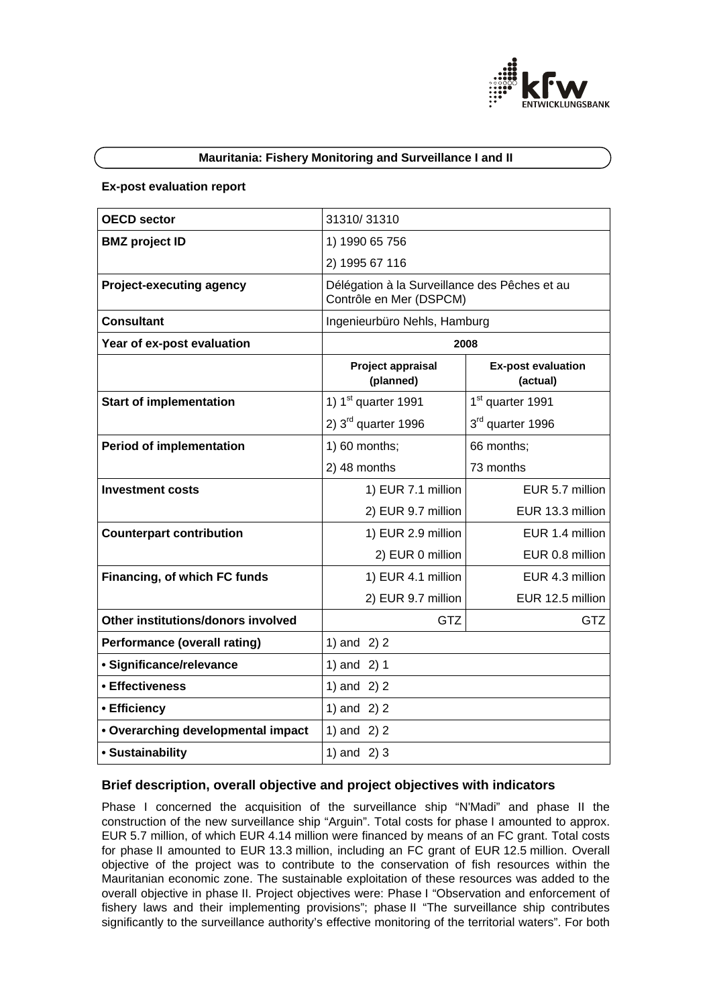

## **Mauritania: Fishery Monitoring and Surveillance I and II**

#### **Ex-post evaluation report**

| <b>OECD sector</b>                  | 31310/31310                                                              |                                       |
|-------------------------------------|--------------------------------------------------------------------------|---------------------------------------|
| <b>BMZ</b> project ID               | 1) 1990 65 756                                                           |                                       |
|                                     | 2) 1995 67 116                                                           |                                       |
| <b>Project-executing agency</b>     | Délégation à la Surveillance des Pêches et au<br>Contrôle en Mer (DSPCM) |                                       |
| <b>Consultant</b>                   | Ingenieurbüro Nehls, Hamburg                                             |                                       |
| Year of ex-post evaluation          | 2008                                                                     |                                       |
|                                     | Project appraisal<br>(planned)                                           | <b>Ex-post evaluation</b><br>(actual) |
| <b>Start of implementation</b>      | 1) $1st$ quarter 1991                                                    | 1 <sup>st</sup> quarter 1991          |
|                                     | 2) $3rd$ quarter 1996                                                    | 3rd quarter 1996                      |
| <b>Period of implementation</b>     | 1) 60 months;                                                            | 66 months;                            |
|                                     | 2) 48 months                                                             | 73 months                             |
| Investment costs                    | 1) EUR 7.1 million                                                       | EUR 5.7 million                       |
|                                     | 2) EUR 9.7 million                                                       | EUR 13.3 million                      |
| <b>Counterpart contribution</b>     | 1) EUR 2.9 million                                                       | EUR 1.4 million                       |
|                                     | 2) EUR 0 million                                                         | EUR 0.8 million                       |
| Financing, of which FC funds        | 1) EUR 4.1 million                                                       | EUR 4.3 million                       |
|                                     | 2) EUR 9.7 million                                                       | EUR 12.5 million                      |
| Other institutions/donors involved  | GTZ                                                                      | <b>GTZ</b>                            |
| <b>Performance (overall rating)</b> | 1) and $2)$ 2                                                            |                                       |
| · Significance/relevance            | 1) and $2)$ 1                                                            |                                       |
| • Effectiveness                     | 1) and $2)$ 2                                                            |                                       |
| • Efficiency                        | 1) and $2)$ 2                                                            |                                       |
| • Overarching developmental impact  | 1) and $2)$ 2                                                            |                                       |
| • Sustainability                    | 1) and $2)$ 3                                                            |                                       |

## **Brief description, overall objective and project objectives with indicators**

Phase I concerned the acquisition of the surveillance ship "N'Madi" and phase II the construction of the new surveillance ship "Arguin". Total costs for phase I amounted to approx. EUR 5.7 million, of which EUR 4.14 million were financed by means of an FC grant. Total costs for phase II amounted to EUR 13.3 million, including an FC grant of EUR 12.5 million. Overall objective of the project was to contribute to the conservation of fish resources within the Mauritanian economic zone. The sustainable exploitation of these resources was added to the overall objective in phase II. Project objectives were: Phase I "Observation and enforcement of fishery laws and their implementing provisions"; phase II "The surveillance ship contributes significantly to the surveillance authority's effective monitoring of the territorial waters". For both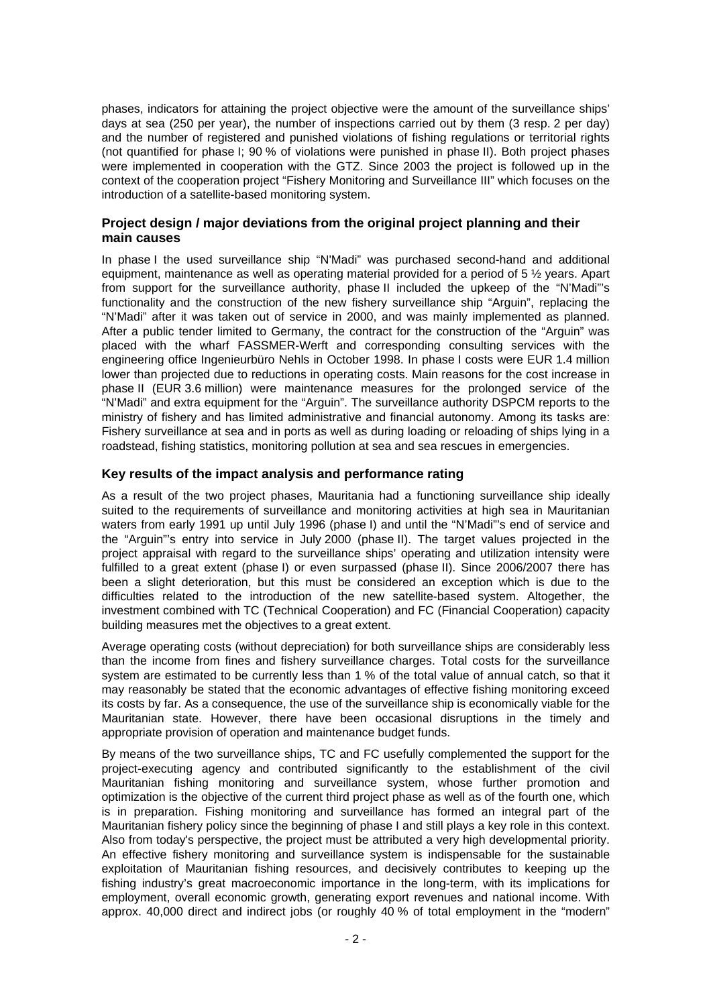phases, indicators for attaining the project objective were the amount of the surveillance ships' days at sea (250 per year), the number of inspections carried out by them (3 resp. 2 per day) and the number of registered and punished violations of fishing regulations or territorial rights (not quantified for phase I; 90 % of violations were punished in phase II). Both project phases were implemented in cooperation with the GTZ. Since 2003 the project is followed up in the context of the cooperation project "Fishery Monitoring and Surveillance III" which focuses on the introduction of a satellite-based monitoring system.

## **Project design / major deviations from the original project planning and their main causes**

In phase I the used surveillance ship "N'Madi" was purchased second-hand and additional equipment, maintenance as well as operating material provided for a period of 5 ½ years. Apart from support for the surveillance authority, phase II included the upkeep of the "N'Madi"'s functionality and the construction of the new fishery surveillance ship "Arguin", replacing the "N'Madi" after it was taken out of service in 2000, and was mainly implemented as planned. After a public tender limited to Germany, the contract for the construction of the "Arguin" was placed with the wharf FASSMER-Werft and corresponding consulting services with the engineering office Ingenieurbüro Nehls in October 1998. In phase I costs were EUR 1.4 million lower than projected due to reductions in operating costs. Main reasons for the cost increase in phase II (EUR 3.6 million) were maintenance measures for the prolonged service of the "N'Madi" and extra equipment for the "Arguin". The surveillance authority DSPCM reports to the ministry of fishery and has limited administrative and financial autonomy. Among its tasks are: Fishery surveillance at sea and in ports as well as during loading or reloading of ships lying in a roadstead, fishing statistics, monitoring pollution at sea and sea rescues in emergencies.

## **Key results of the impact analysis and performance rating**

As a result of the two project phases, Mauritania had a functioning surveillance ship ideally suited to the requirements of surveillance and monitoring activities at high sea in Mauritanian waters from early 1991 up until July 1996 (phase I) and until the "N'Madi"'s end of service and the "Arguin"'s entry into service in July 2000 (phase II). The target values projected in the project appraisal with regard to the surveillance ships' operating and utilization intensity were fulfilled to a great extent (phase I) or even surpassed (phase II). Since 2006/2007 there has been a slight deterioration, but this must be considered an exception which is due to the difficulties related to the introduction of the new satellite-based system. Altogether, the investment combined with TC (Technical Cooperation) and FC (Financial Cooperation) capacity building measures met the objectives to a great extent.

Average operating costs (without depreciation) for both surveillance ships are considerably less than the income from fines and fishery surveillance charges. Total costs for the surveillance system are estimated to be currently less than 1 % of the total value of annual catch, so that it may reasonably be stated that the economic advantages of effective fishing monitoring exceed its costs by far. As a consequence, the use of the surveillance ship is economically viable for the Mauritanian state. However, there have been occasional disruptions in the timely and appropriate provision of operation and maintenance budget funds.

By means of the two surveillance ships, TC and FC usefully complemented the support for the project-executing agency and contributed significantly to the establishment of the civil Mauritanian fishing monitoring and surveillance system, whose further promotion and optimization is the objective of the current third project phase as well as of the fourth one, which is in preparation. Fishing monitoring and surveillance has formed an integral part of the Mauritanian fishery policy since the beginning of phase I and still plays a key role in this context. Also from today's perspective, the project must be attributed a very high developmental priority. An effective fishery monitoring and surveillance system is indispensable for the sustainable exploitation of Mauritanian fishing resources, and decisively contributes to keeping up the fishing industry's great macroeconomic importance in the long-term, with its implications for employment, overall economic growth, generating export revenues and national income. With approx. 40,000 direct and indirect jobs (or roughly 40 % of total employment in the "modern"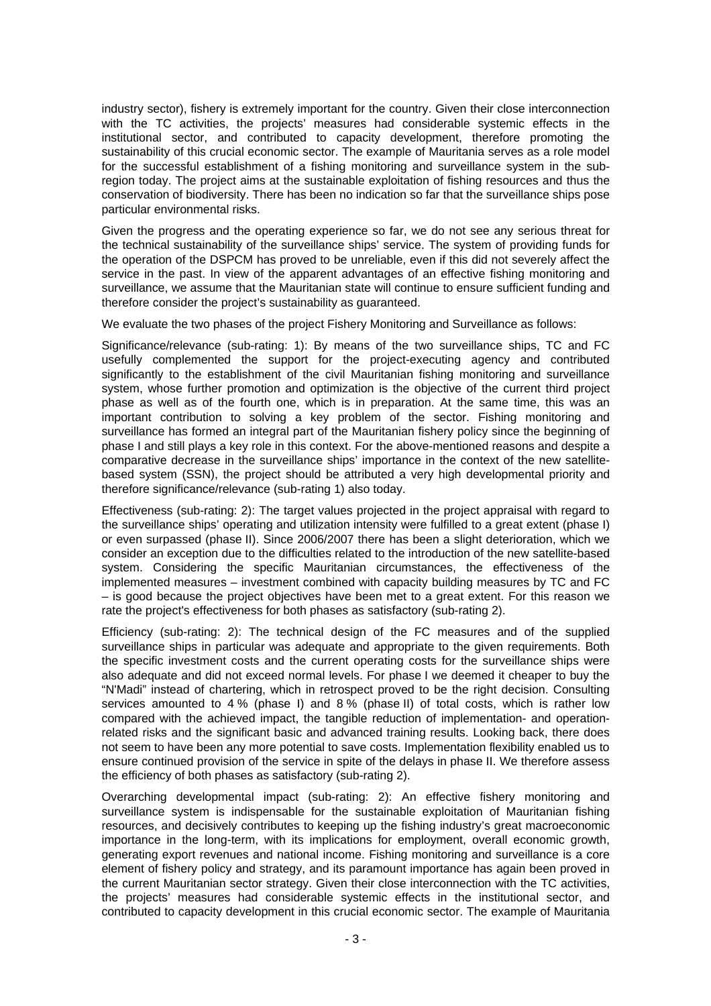industry sector), fishery is extremely important for the country. Given their close interconnection with the TC activities, the projects' measures had considerable systemic effects in the institutional sector, and contributed to capacity development, therefore promoting the sustainability of this crucial economic sector. The example of Mauritania serves as a role model for the successful establishment of a fishing monitoring and surveillance system in the subregion today. The project aims at the sustainable exploitation of fishing resources and thus the conservation of biodiversity. There has been no indication so far that the surveillance ships pose particular environmental risks.

Given the progress and the operating experience so far, we do not see any serious threat for the technical sustainability of the surveillance ships' service. The system of providing funds for the operation of the DSPCM has proved to be unreliable, even if this did not severely affect the service in the past. In view of the apparent advantages of an effective fishing monitoring and surveillance, we assume that the Mauritanian state will continue to ensure sufficient funding and therefore consider the project's sustainability as guaranteed.

We evaluate the two phases of the project Fishery Monitoring and Surveillance as follows:

Significance/relevance (sub-rating: 1): By means of the two surveillance ships, TC and FC usefully complemented the support for the project-executing agency and contributed significantly to the establishment of the civil Mauritanian fishing monitoring and surveillance system, whose further promotion and optimization is the objective of the current third project phase as well as of the fourth one, which is in preparation. At the same time, this was an important contribution to solving a key problem of the sector. Fishing monitoring and surveillance has formed an integral part of the Mauritanian fishery policy since the beginning of phase I and still plays a key role in this context. For the above-mentioned reasons and despite a comparative decrease in the surveillance ships' importance in the context of the new satellitebased system (SSN), the project should be attributed a very high developmental priority and therefore significance/relevance (sub-rating 1) also today.

Effectiveness (sub-rating: 2): The target values projected in the project appraisal with regard to the surveillance ships' operating and utilization intensity were fulfilled to a great extent (phase I) or even surpassed (phase II). Since 2006/2007 there has been a slight deterioration, which we consider an exception due to the difficulties related to the introduction of the new satellite-based system. Considering the specific Mauritanian circumstances, the effectiveness of the implemented measures – investment combined with capacity building measures by TC and FC – is good because the project objectives have been met to a great extent. For this reason we rate the project's effectiveness for both phases as satisfactory (sub-rating 2).

Efficiency (sub-rating: 2): The technical design of the FC measures and of the supplied surveillance ships in particular was adequate and appropriate to the given requirements. Both the specific investment costs and the current operating costs for the surveillance ships were also adequate and did not exceed normal levels. For phase I we deemed it cheaper to buy the "N'Madi" instead of chartering, which in retrospect proved to be the right decision. Consulting services amounted to 4 % (phase I) and 8 % (phase II) of total costs, which is rather low compared with the achieved impact, the tangible reduction of implementation- and operationrelated risks and the significant basic and advanced training results. Looking back, there does not seem to have been any more potential to save costs. Implementation flexibility enabled us to ensure continued provision of the service in spite of the delays in phase II. We therefore assess the efficiency of both phases as satisfactory (sub-rating 2).

Overarching developmental impact (sub-rating: 2): An effective fishery monitoring and surveillance system is indispensable for the sustainable exploitation of Mauritanian fishing resources, and decisively contributes to keeping up the fishing industry's great macroeconomic importance in the long-term, with its implications for employment, overall economic growth, generating export revenues and national income. Fishing monitoring and surveillance is a core element of fishery policy and strategy, and its paramount importance has again been proved in the current Mauritanian sector strategy. Given their close interconnection with the TC activities, the projects' measures had considerable systemic effects in the institutional sector, and contributed to capacity development in this crucial economic sector. The example of Mauritania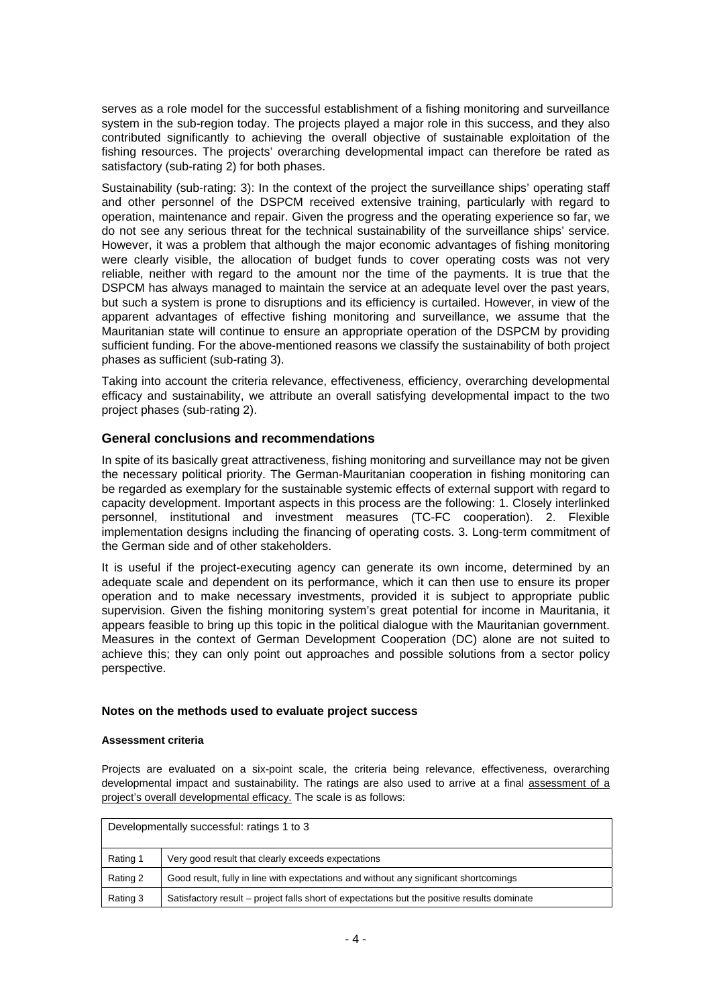serves as a role model for the successful establishment of a fishing monitoring and surveillance system in the sub-region today. The projects played a major role in this success, and they also contributed significantly to achieving the overall objective of sustainable exploitation of the fishing resources. The projects' overarching developmental impact can therefore be rated as satisfactory (sub-rating 2) for both phases.

Sustainability (sub-rating: 3): In the context of the project the surveillance ships' operating staff and other personnel of the DSPCM received extensive training, particularly with regard to operation, maintenance and repair. Given the progress and the operating experience so far, we do not see any serious threat for the technical sustainability of the surveillance ships' service. However, it was a problem that although the major economic advantages of fishing monitoring were clearly visible, the allocation of budget funds to cover operating costs was not very reliable, neither with regard to the amount nor the time of the payments. It is true that the DSPCM has always managed to maintain the service at an adequate level over the past years, but such a system is prone to disruptions and its efficiency is curtailed. However, in view of the apparent advantages of effective fishing monitoring and surveillance, we assume that the Mauritanian state will continue to ensure an appropriate operation of the DSPCM by providing sufficient funding. For the above-mentioned reasons we classify the sustainability of both project phases as sufficient (sub-rating 3).

Taking into account the criteria relevance, effectiveness, efficiency, overarching developmental efficacy and sustainability, we attribute an overall satisfying developmental impact to the two project phases (sub-rating 2).

# **General conclusions and recommendations**

In spite of its basically great attractiveness, fishing monitoring and surveillance may not be given the necessary political priority. The German-Mauritanian cooperation in fishing monitoring can be regarded as exemplary for the sustainable systemic effects of external support with regard to capacity development. Important aspects in this process are the following: 1. Closely interlinked personnel, institutional and investment measures (TC-FC cooperation). 2. Flexible implementation designs including the financing of operating costs. 3. Long-term commitment of the German side and of other stakeholders.

It is useful if the project-executing agency can generate its own income, determined by an adequate scale and dependent on its performance, which it can then use to ensure its proper operation and to make necessary investments, provided it is subject to appropriate public supervision. Given the fishing monitoring system's great potential for income in Mauritania, it appears feasible to bring up this topic in the political dialogue with the Mauritanian government. Measures in the context of German Development Cooperation (DC) alone are not suited to achieve this; they can only point out approaches and possible solutions from a sector policy perspective.

### **Notes on the methods used to evaluate project success**

### **Assessment criteria**

Projects are evaluated on a six-point scale, the criteria being relevance, effectiveness, overarching developmental impact and sustainability. The ratings are also used to arrive at a final assessment of a project's overall developmental efficacy. The scale is as follows:

| Developmentally successful: ratings 1 to 3 |                                                                                             |  |
|--------------------------------------------|---------------------------------------------------------------------------------------------|--|
| Rating 1                                   | Very good result that clearly exceeds expectations                                          |  |
| Rating 2                                   | Good result, fully in line with expectations and without any significant shortcomings       |  |
| Rating 3                                   | Satisfactory result – project falls short of expectations but the positive results dominate |  |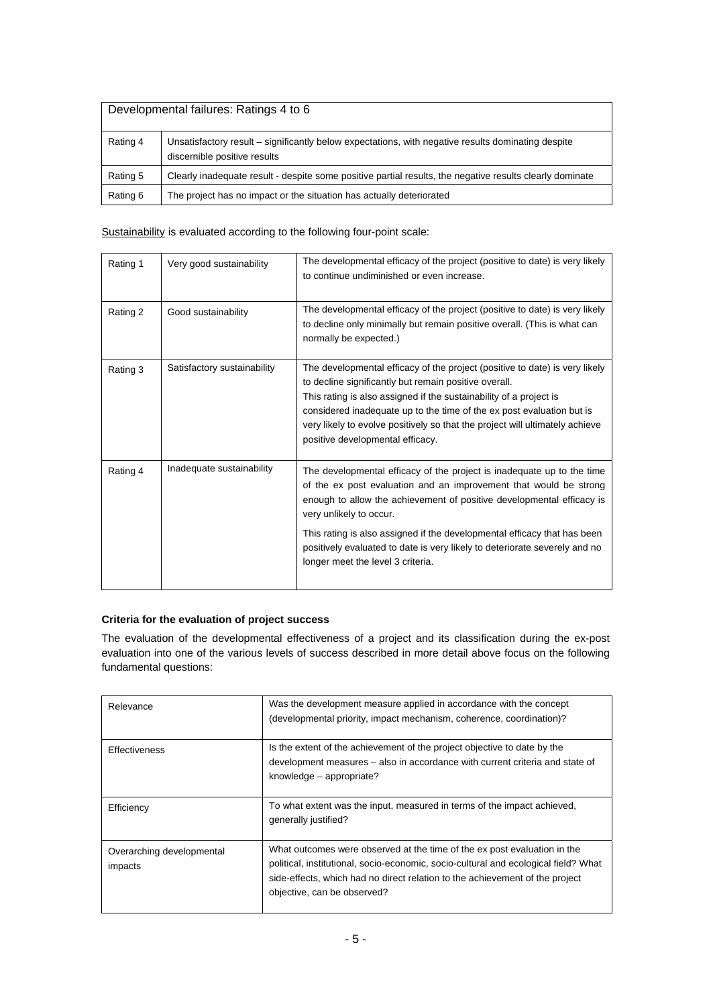| Developmental failures: Ratings 4 to 6 |                                                                                                                                    |  |
|----------------------------------------|------------------------------------------------------------------------------------------------------------------------------------|--|
| Rating 4                               | Unsatisfactory result – significantly below expectations, with negative results dominating despite<br>discernible positive results |  |
| Rating 5                               | Clearly inadequate result - despite some positive partial results, the negative results clearly dominate                           |  |
| Rating 6                               | The project has no impact or the situation has actually deteriorated                                                               |  |

## Sustainability is evaluated according to the following four-point scale:

| Rating 1 | Very good sustainability    | The developmental efficacy of the project (positive to date) is very likely<br>to continue undiminished or even increase.                                                                                                                                                                                                                                                                               |
|----------|-----------------------------|---------------------------------------------------------------------------------------------------------------------------------------------------------------------------------------------------------------------------------------------------------------------------------------------------------------------------------------------------------------------------------------------------------|
| Rating 2 | Good sustainability         | The developmental efficacy of the project (positive to date) is very likely<br>to decline only minimally but remain positive overall. (This is what can<br>normally be expected.)                                                                                                                                                                                                                       |
| Rating 3 | Satisfactory sustainability | The developmental efficacy of the project (positive to date) is very likely<br>to decline significantly but remain positive overall.<br>This rating is also assigned if the sustainability of a project is<br>considered inadequate up to the time of the ex post evaluation but is<br>very likely to evolve positively so that the project will ultimately achieve<br>positive developmental efficacy. |
| Rating 4 | Inadequate sustainability   | The developmental efficacy of the project is inadequate up to the time<br>of the ex post evaluation and an improvement that would be strong<br>enough to allow the achievement of positive developmental efficacy is<br>very unlikely to occur.                                                                                                                                                         |
|          |                             | This rating is also assigned if the developmental efficacy that has been<br>positively evaluated to date is very likely to deteriorate severely and no<br>longer meet the level 3 criteria.                                                                                                                                                                                                             |

### **Criteria for the evaluation of project success**

The evaluation of the developmental effectiveness of a project and its classification during the ex-post evaluation into one of the various levels of success described in more detail above focus on the following fundamental questions:

| Relevance                            | Was the development measure applied in accordance with the concept<br>(developmental priority, impact mechanism, coherence, coordination)?                                                                                                                                     |
|--------------------------------------|--------------------------------------------------------------------------------------------------------------------------------------------------------------------------------------------------------------------------------------------------------------------------------|
| Effectiveness                        | Is the extent of the achievement of the project objective to date by the<br>development measures - also in accordance with current criteria and state of<br>knowledge - appropriate?                                                                                           |
| Efficiency                           | To what extent was the input, measured in terms of the impact achieved,<br>generally justified?                                                                                                                                                                                |
| Overarching developmental<br>impacts | What outcomes were observed at the time of the ex post evaluation in the<br>political, institutional, socio-economic, socio-cultural and ecological field? What<br>side-effects, which had no direct relation to the achievement of the project<br>objective, can be observed? |